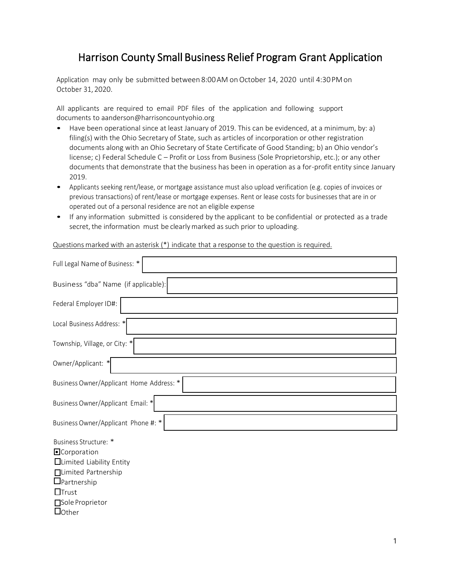## Harrison County Small Business Relief Program Grant Application

Application may only be submitted between 8:00 AM on October 14, 2020 until 4:30PM on October 31, 2020.

All applicants are required to email PDF files of the application and following support documents to aanderson@harrisoncountyohio.org

- Have been operational since at least January of 2019. This can be evidenced, at a minimum, by: a) filing(s) with the Ohio Secretary of State, such as articles of incorporation or other registration documents along with an Ohio Secretary of State Certificate of Good Standing; b) an Ohio vendor's license; c) Federal Schedule C – Profit or Loss from Business (Sole Proprietorship, etc.); or any other documents that demonstrate that the business has been in operation as a for-profit entity since January 2019.
- Applicants seeking rent/lease, or mortgage assistance must also upload verification (e.g. copies of invoices or previous transactions) of rent/lease or mortgage expenses. Rent or lease costs for businesses that are in or operated out of a personal residence are not an eligible expense
- If any information submitted is considered by the applicant to be confidential or protected as a trade secret, the information must be clearly marked as such prior to uploading.

Questions marked with an asterisk (\*) indicate that a response to the question is required.

| Full Legal Name of Business: *                                                                                                                                              |
|-----------------------------------------------------------------------------------------------------------------------------------------------------------------------------|
| Business "dba" Name (if applicable):                                                                                                                                        |
| Federal Employer ID#:                                                                                                                                                       |
| Local Business Address: *                                                                                                                                                   |
| Township, Village, or City: *                                                                                                                                               |
| Owner/Applicant: *                                                                                                                                                          |
| Business Owner/Applicant Home Address: *                                                                                                                                    |
| Business Owner/Applicant Email: *                                                                                                                                           |
| Business Owner/Applicant Phone #: *                                                                                                                                         |
| Business Structure: *<br>· Corporation<br><b>ILimited Liability Entity</b><br>□Limited Partnership<br>$\Box$ Partnership<br>$\Box$ Trust<br>Sole Proprietor<br>$\Box$ Other |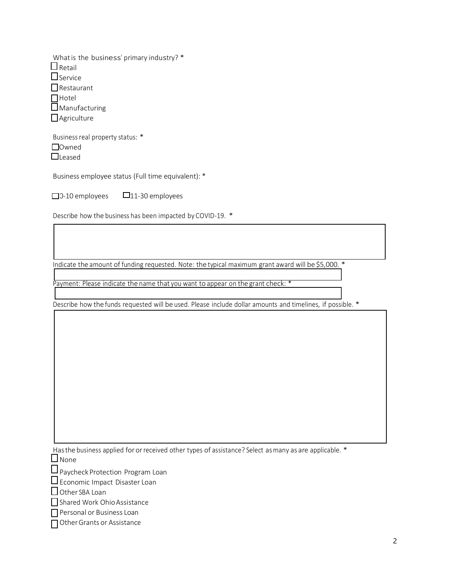| What is the business' primary industry? * |
|-------------------------------------------|
| $\square$ Retail                          |
| $\Box$ Service                            |
| $\Box$ Restaurant                         |
| $\Box$ Hotel                              |
| Manufacturing                             |
| $\Box$ Agriculture                        |

Business real property status: \* □Owned **Q**Leased

Business employee status (Full time equivalent): \*

 $\square$ 0-10 employees  $\square$ 11-30 employees

Describe how the business has been impacted by COVID-19. \*

Indicate the amount of funding requested. Note: the typical maximum grant award will be \$5,000. \*

Payment: Please indicate the name that you want to appear on the grant check: \*

Describe how the funds requested will be used. Please include dollar amounts and timelines, if possible. \*

Has the business applied for or received other types of assistance? Select as many as are applicable. \* **D** None

 $\Box$  Paycheck Protection Program Loan

 $\square$  Economic Impact Disaster Loan

 $\Box$  Other SBA Loan

Shared Work Ohio Assistance

**Personal or Business Loan** 

□ Other Grants or Assistance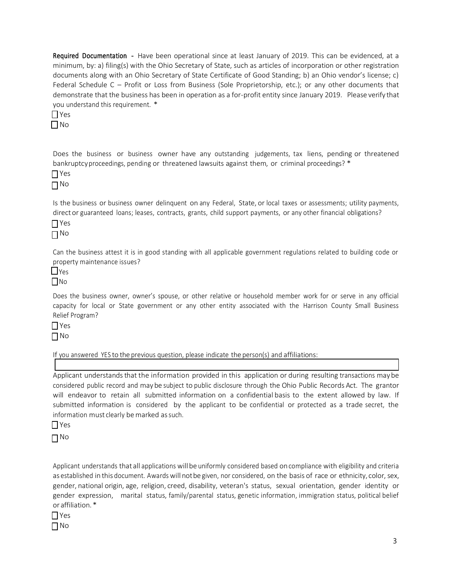Required Documentation - Have been operational since at least January of 2019. This can be evidenced, at a minimum, by: a) filing(s) with the Ohio Secretary of State, such as articles of incorporation or other registration documents along with an Ohio Secretary of State Certificate of Good Standing; b) an Ohio vendor's license; c) Federal Schedule C – Profit or Loss from Business (Sole Proprietorship, etc.); or any other documents that demonstrate that the business has been in operation as a for-profit entity since January 2019. Please verify that you understand this requirement. \*

 $\Box$  Yes No

Does the business or business owner have any outstanding judgements, tax liens, pending or threatened bankruptcy proceedings, pending or threatened lawsuits against them, or criminal proceedings? \*

 $\prod$  Yes No

Is the business or business owner delinquent on any Federal, State, or local taxes or assessments; utility payments, director guaranteed loans; leases, contracts, grants, child support payments, or any other financial obligations?

 $\prod$ Yes No

Can the business attest it is in good standing with all applicable government regulations related to building code or property maintenance issues?

**L**Yes No

Does the business owner, owner's spouse, or other relative or household member work for or serve in any official capacity for local or State government or any other entity associated with the Harrison County Small Business Relief Program?

Yes  $\Box$ No

If you answered YES to the previous question, please indicate the person(s) and affiliations:

Applicant understands that the information provided in this application or during resulting transactions may be considered public record and maybe subject to public disclosure through the Ohio Public Records Act. The grantor will endeavor to retain all submitted information on a confidential basis to the extent allowed by law. If submitted information is considered by the applicant to be confidential or protected as a trade secret, the information must clearly be marked as such.

Yes

 $\Box$ No

Applicant understands that all applications willbe uniformly considered based oncompliance with eligibility and criteria as established in this document. Awards will not be given, nor considered, on the basis of race or ethnicity, color, sex, gender, national origin, age, religion, creed, disability, veteran's status, sexual orientation, gender identity or gender expression, marital status, family/parental status, genetic information, immigration status, political belief or affiliation.\*

 $\prod$  Yes

No